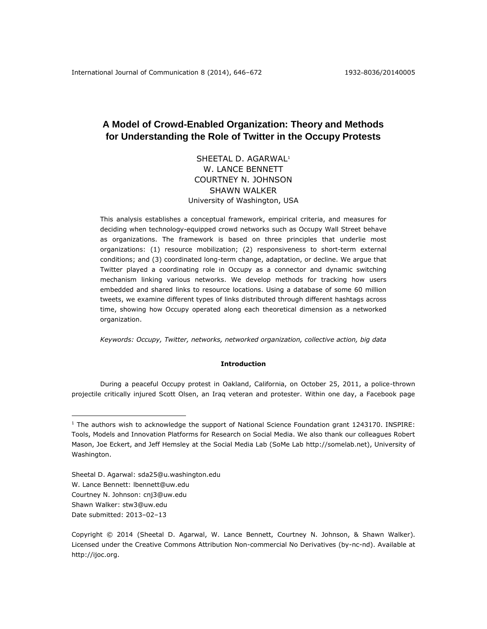# **A Model of Crowd-Enabled Organization: Theory and Methods for Understanding the Role of Twitter in the Occupy Protests**

SHEETAL D. AGARWAL<sup>1</sup> W. LANCE BENNETT COURTNEY N. JOHNSON SHAWN WALKER University of Washington, USA

This analysis establishes a conceptual framework, empirical criteria, and measures for deciding when technology-equipped crowd networks such as Occupy Wall Street behave as organizations. The framework is based on three principles that underlie most organizations: (1) resource mobilization; (2) responsiveness to short-term external conditions; and (3) coordinated long-term change, adaptation, or decline. We argue that Twitter played a coordinating role in Occupy as a connector and dynamic switching mechanism linking various networks. We develop methods for tracking how users embedded and shared links to resource locations. Using a database of some 60 million tweets, we examine different types of links distributed through different hashtags across time, showing how Occupy operated along each theoretical dimension as a networked organization.

*Keywords: Occupy, Twitter, networks, networked organization, collective action, big data*

## **Introduction**

During a peaceful Occupy protest in Oakland, California, on October 25, 2011, a police-thrown projectile critically injured Scott Olsen, an Iraq veteran and protester. Within one day, a Facebook page

Sheetal D. Agarwal: [sda25@u.washington.edu](mailto:sda25@u.washington.edu) W. Lance Bennett: [lbennett@uw.edu](mailto:lbennett@uw.edu) Courtney N. Johnson: [cnj3@uw.edu](mailto:cnj3@uw.edu) Shawn Walker: [stw3@uw.edu](mailto:stw3@uw.edu) Date submitted: 2013–02–13

 $\overline{a}$ 

<sup>&</sup>lt;sup>1</sup> The authors wish to acknowledge the support of National Science Foundation grant 1243170. INSPIRE: Tools, Models and Innovation Platforms for Research on Social Media. We also thank our colleagues Robert Mason, Joe Eckert, and Jeff Hemsley at the Social Media Lab (SoMe Lab [http://somelab.net\)](http://somelab.net/), University of Washington.

Copyright © 2014 (Sheetal D. Agarwal, W. Lance Bennett, Courtney N. Johnson, & Shawn Walker). Licensed under the Creative Commons Attribution Non-commercial No Derivatives (by-nc-nd). Available at http://ijoc.org.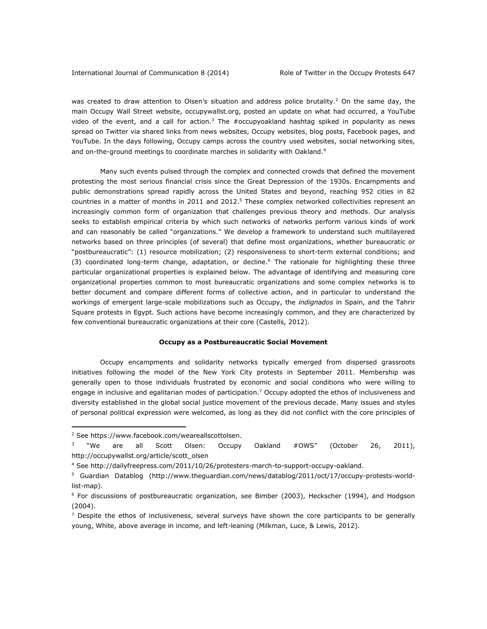was created to draw attention to Olsen's situation and address police brutality.<sup>2</sup> On the same day, the main Occupy Wall Street website, occupywallst.org, posted an update on what had occurred, a YouTube video of the event, and a call for action.<sup>3</sup> The #occupyoakland hashtag spiked in popularity as news spread on Twitter via shared links from news websites, Occupy websites, blog posts, Facebook pages, and YouTube. In the days following, Occupy camps across the country used websites, social networking sites, and on-the-ground meetings to coordinate marches in solidarity with Oakland.<sup>4</sup>

Many such events pulsed through the complex and connected crowds that defined the movement protesting the most serious financial crisis since the Great Depression of the 1930s. Encampments and public demonstrations spread rapidly across the United States and beyond, reaching 952 cities in 82 countries in a matter of months in 2011 and 2012.<sup>5</sup> These complex networked collectivities represent an increasingly common form of organization that challenges previous theory and methods. Our analysis seeks to establish empirical criteria by which such networks of networks perform various kinds of work and can reasonably be called "organizations." We develop a framework to understand such multilayered networks based on three principles (of several) that define most organizations, whether bureaucratic or "postbureaucratic": (1) resource mobilization; (2) responsiveness to short-term external conditions; and (3) coordinated long-term change, adaptation, or decline.<sup>6</sup> The rationale for highlighting these three particular organizational properties is explained below. The advantage of identifying and measuring core organizational properties common to most bureaucratic organizations and some complex networks is to better document and compare different forms of collective action, and in particular to understand the workings of emergent large-scale mobilizations such as Occupy, the *indignados* in Spain, and the Tahrir Square protests in Egypt. Such actions have become increasingly common, and they are characterized by few conventional bureaucratic organizations at their core (Castells, 2012).

## **Occupy as a Postbureaucratic Social Movement**

Occupy encampments and solidarity networks typically emerged from dispersed grassroots initiatives following the model of the New York City protests in September 2011. Membership was generally open to those individuals frustrated by economic and social conditions who were willing to engage in inclusive and egalitarian modes of participation.<sup>7</sup> Occupy adopted the ethos of inclusiveness and diversity established in the global social justice movement of the previous decade. Many issues and styles of personal political expression were welcomed, as long as they did not conflict with the core principles of

 $\overline{a}$ 

<sup>&</sup>lt;sup>2</sup> See [https://www.facebook.com/weareallscottolsen.](https://www.facebook.com/weareallscottolsen)

<sup>3</sup> "We are all Scott Olsen: Occupy Oakland #OWS" (October 26, 2011), [http://occupywallst.org/article/scott\\_olsen](http://occupywallst.org/article/scott_olsen)

<sup>4</sup> See [http://dailyfreepress.com/2011/10/26/protesters-march-to-support-occupy-oakland.](http://dailyfreepress.com/2011/10/26/protesters-march-to-support-occupy-oakland)

<sup>&</sup>lt;sup>5</sup> Guardian Datablog [\(http://www.theguardian.com/news/datablog/2011/oct/17/occupy-protests-world](http://www.theguardian.com/news/datablog/2011/oct/17/occupy-protests-world-list-map)[list-map\)](http://www.theguardian.com/news/datablog/2011/oct/17/occupy-protests-world-list-map).

<sup>&</sup>lt;sup>6</sup> For discussions of postbureaucratic organization, see Bimber (2003), Heckscher (1994), and Hodgson (2004).

 $<sup>7</sup>$  Despite the ethos of inclusiveness, several surveys have shown the core participants to be generally</sup> young, White, above average in income, and left-leaning (Milkman, Luce, & Lewis, 2012).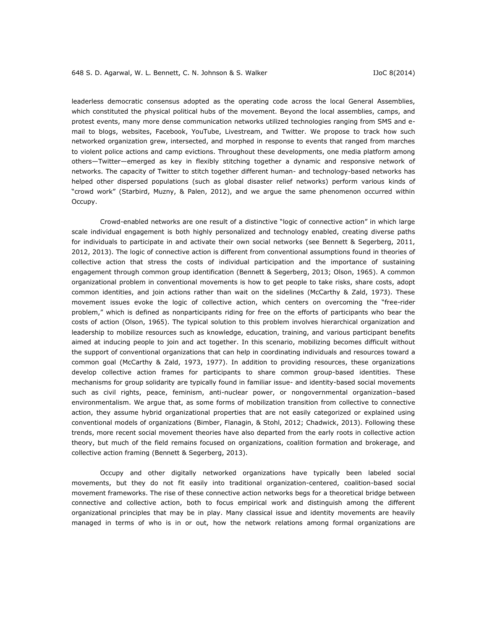leaderless democratic consensus adopted as the operating code across the local General Assemblies, which constituted the physical political hubs of the movement. Beyond the local assemblies, camps, and protest events, many more dense communication networks utilized technologies ranging from SMS and email to blogs, websites, Facebook, YouTube, Livestream, and Twitter. We propose to track how such networked organization grew, intersected, and morphed in response to events that ranged from marches to violent police actions and camp evictions. Throughout these developments, one media platform among others—Twitter—emerged as key in flexibly stitching together a dynamic and responsive network of networks. The capacity of Twitter to stitch together different human- and technology-based networks has helped other dispersed populations (such as global disaster relief networks) perform various kinds of "crowd work" (Starbird, Muzny, & Palen, 2012), and we argue the same phenomenon occurred within Occupy.

Crowd-enabled networks are one result of a distinctive "logic of connective action" in which large scale individual engagement is both highly personalized and technology enabled, creating diverse paths for individuals to participate in and activate their own social networks (see Bennett & Segerberg, 2011, 2012, 2013). The logic of connective action is different from conventional assumptions found in theories of collective action that stress the costs of individual participation and the importance of sustaining engagement through common group identification (Bennett & Segerberg, 2013; Olson, 1965). A common organizational problem in conventional movements is how to get people to take risks, share costs, adopt common identities, and join actions rather than wait on the sidelines (McCarthy & Zald, 1973). These movement issues evoke the logic of collective action, which centers on overcoming the "free-rider problem," which is defined as nonparticipants riding for free on the efforts of participants who bear the costs of action (Olson, 1965). The typical solution to this problem involves hierarchical organization and leadership to mobilize resources such as knowledge, education, training, and various participant benefits aimed at inducing people to join and act together. In this scenario, mobilizing becomes difficult without the support of conventional organizations that can help in coordinating individuals and resources toward a common goal (McCarthy & Zald, 1973, 1977). In addition to providing resources, these organizations develop collective action frames for participants to share common group-based identities. These mechanisms for group solidarity are typically found in familiar issue- and identity-based social movements such as civil rights, peace, feminism, anti-nuclear power, or nongovernmental organization–based environmentalism. We argue that, as some forms of mobilization transition from collective to connective action, they assume hybrid organizational properties that are not easily categorized or explained using conventional models of organizations (Bimber, Flanagin, & Stohl, 2012; Chadwick, 2013). Following these trends, more recent social movement theories have also departed from the early roots in collective action theory, but much of the field remains focused on organizations, coalition formation and brokerage, and collective action framing (Bennett & Segerberg, 2013).

Occupy and other digitally networked organizations have typically been labeled social movements, but they do not fit easily into traditional organization-centered, coalition-based social movement frameworks. The rise of these connective action networks begs for a theoretical bridge between connective and collective action, both to focus empirical work and distinguish among the different organizational principles that may be in play. Many classical issue and identity movements are heavily managed in terms of who is in or out, how the network relations among formal organizations are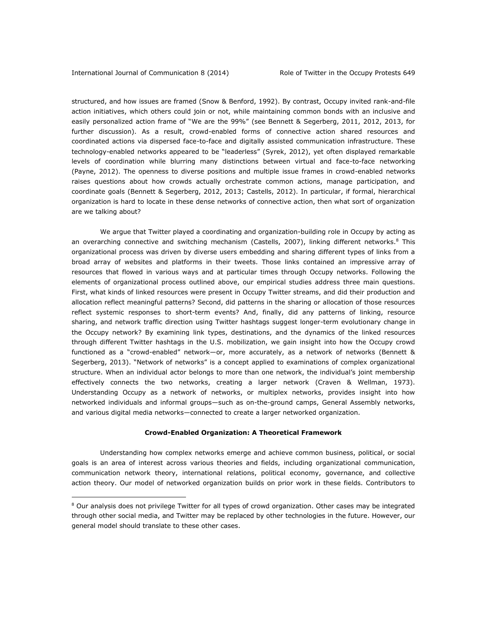$\overline{a}$ 

structured, and how issues are framed (Snow & Benford, 1992). By contrast, Occupy invited rank-and-file action initiatives, which others could join or not, while maintaining common bonds with an inclusive and easily personalized action frame of "We are the 99%" (see Bennett & Segerberg, 2011, 2012, 2013, for further discussion). As a result, crowd-enabled forms of connective action shared resources and coordinated actions via dispersed face-to-face and digitally assisted communication infrastructure. These technology-enabled networks appeared to be "leaderless" (Syrek, 2012), yet often displayed remarkable levels of coordination while blurring many distinctions between virtual and face-to-face networking (Payne, 2012). The openness to diverse positions and multiple issue frames in crowd-enabled networks raises questions about how crowds actually orchestrate common actions, manage participation, and coordinate goals (Bennett & Segerberg, 2012, 2013; Castells, 2012). In particular, if formal, hierarchical organization is hard to locate in these dense networks of connective action, then what sort of organization are we talking about?

We argue that Twitter played a coordinating and organization-building role in Occupy by acting as an overarching connective and switching mechanism (Castells, 2007), linking different networks.<sup>8</sup> This organizational process was driven by diverse users embedding and sharing different types of links from a broad array of websites and platforms in their tweets. Those links contained an impressive array of resources that flowed in various ways and at particular times through Occupy networks. Following the elements of organizational process outlined above, our empirical studies address three main questions. First, what kinds of linked resources were present in Occupy Twitter streams, and did their production and allocation reflect meaningful patterns? Second, did patterns in the sharing or allocation of those resources reflect systemic responses to short-term events? And, finally, did any patterns of linking, resource sharing, and network traffic direction using Twitter hashtags suggest longer-term evolutionary change in the Occupy network? By examining link types, destinations, and the dynamics of the linked resources through different Twitter hashtags in the U.S. mobilization, we gain insight into how the Occupy crowd functioned as a "crowd-enabled" network—or, more accurately, as a network of networks (Bennett & Segerberg, 2013). "Network of networks" is a concept applied to examinations of complex organizational structure. When an individual actor belongs to more than one network, the individual's joint membership effectively connects the two networks, creating a larger network (Craven & Wellman, 1973). Understanding Occupy as a network of networks, or multiplex networks, provides insight into how networked individuals and informal groups—such as on-the-ground camps, General Assembly networks, and various digital media networks—connected to create a larger networked organization.

## **Crowd-Enabled Organization: A Theoretical Framework**

Understanding how complex networks emerge and achieve common business, political, or social goals is an area of interest across various theories and fields, including organizational communication, communication network theory, international relations, political economy, governance, and collective action theory. Our model of networked organization builds on prior work in these fields. Contributors to

<sup>&</sup>lt;sup>8</sup> Our analysis does not privilege Twitter for all types of crowd organization. Other cases may be integrated through other social media, and Twitter may be replaced by other technologies in the future. However, our general model should translate to these other cases.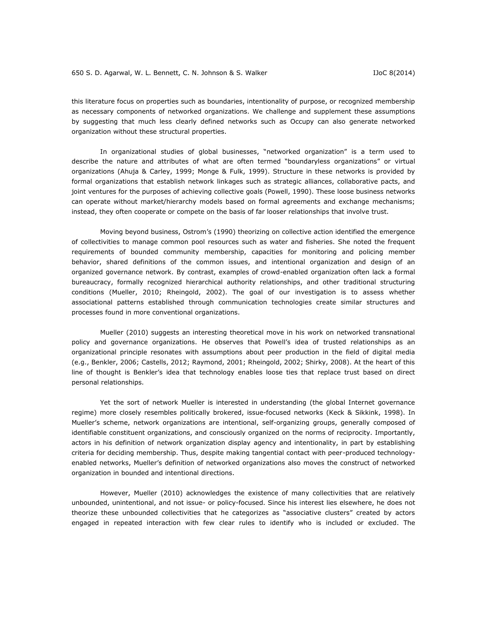this literature focus on properties such as boundaries, intentionality of purpose, or recognized membership as necessary components of networked organizations. We challenge and supplement these assumptions by suggesting that much less clearly defined networks such as Occupy can also generate networked organization without these structural properties.

In organizational studies of global businesses, "networked organization" is a term used to describe the nature and attributes of what are often termed "boundaryless organizations" or virtual organizations (Ahuja & Carley, 1999; Monge & Fulk, 1999). Structure in these networks is provided by formal organizations that establish network linkages such as strategic alliances, collaborative pacts, and joint ventures for the purposes of achieving collective goals (Powell, 1990). These loose business networks can operate without market/hierarchy models based on formal agreements and exchange mechanisms; instead, they often cooperate or compete on the basis of far looser relationships that involve trust.

Moving beyond business, Ostrom's (1990) theorizing on collective action identified the emergence of collectivities to manage common pool resources such as water and fisheries. She noted the frequent requirements of bounded community membership, capacities for monitoring and policing member behavior, shared definitions of the common issues, and intentional organization and design of an organized governance network. By contrast, examples of crowd-enabled organization often lack a formal bureaucracy, formally recognized hierarchical authority relationships, and other traditional structuring conditions (Mueller, 2010; Rheingold, 2002). The goal of our investigation is to assess whether associational patterns established through communication technologies create similar structures and processes found in more conventional organizations.

Mueller (2010) suggests an interesting theoretical move in his work on networked transnational policy and governance organizations. He observes that Powell's idea of trusted relationships as an organizational principle resonates with assumptions about peer production in the field of digital media (e.g., Benkler, 2006; Castells, 2012; Raymond, 2001; Rheingold, 2002; Shirky, 2008). At the heart of this line of thought is Benkler's idea that technology enables loose ties that replace trust based on direct personal relationships.

Yet the sort of network Mueller is interested in understanding (the global Internet governance regime) more closely resembles politically brokered, issue-focused networks (Keck & Sikkink, 1998). In Mueller's scheme, network organizations are intentional, self-organizing groups, generally composed of identifiable constituent organizations, and consciously organized on the norms of reciprocity. Importantly, actors in his definition of network organization display agency and intentionality, in part by establishing criteria for deciding membership. Thus, despite making tangential contact with peer-produced technologyenabled networks, Mueller's definition of networked organizations also moves the construct of networked organization in bounded and intentional directions.

However, Mueller (2010) acknowledges the existence of many collectivities that are relatively unbounded, unintentional, and not issue- or policy-focused. Since his interest lies elsewhere, he does not theorize these unbounded collectivities that he categorizes as "associative clusters" created by actors engaged in repeated interaction with few clear rules to identify who is included or excluded. The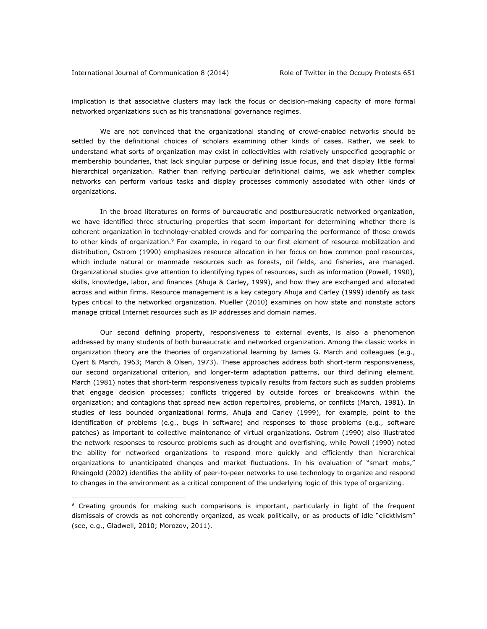$\overline{a}$ 

implication is that associative clusters may lack the focus or decision-making capacity of more formal networked organizations such as his transnational governance regimes.

We are not convinced that the organizational standing of crowd-enabled networks should be settled by the definitional choices of scholars examining other kinds of cases. Rather, we seek to understand what sorts of organization may exist in collectivities with relatively unspecified geographic or membership boundaries, that lack singular purpose or defining issue focus, and that display little formal hierarchical organization. Rather than reifying particular definitional claims, we ask whether complex networks can perform various tasks and display processes commonly associated with other kinds of organizations.

In the broad literatures on forms of bureaucratic and postbureaucratic networked organization, we have identified three structuring properties that seem important for determining whether there is coherent organization in technology-enabled crowds and for comparing the performance of those crowds to other kinds of organization.<sup>9</sup> For example, in regard to our first element of resource mobilization and distribution, Ostrom (1990) emphasizes resource allocation in her focus on how common pool resources, which include natural or manmade resources such as forests, oil fields, and fisheries, are managed. Organizational studies give attention to identifying types of resources, such as information (Powell, 1990), skills, knowledge, labor, and finances (Ahuja & Carley, 1999), and how they are exchanged and allocated across and within firms. Resource management is a key category Ahuja and Carley (1999) identify as task types critical to the networked organization. Mueller (2010) examines on how state and nonstate actors manage critical Internet resources such as IP addresses and domain names.

Our second defining property, responsiveness to external events, is also a phenomenon addressed by many students of both bureaucratic and networked organization. Among the classic works in organization theory are the theories of organizational learning by James G. March and colleagues (e.g., Cyert & March, 1963; March & Olsen, 1973). These approaches address both short-term responsiveness, our second organizational criterion, and longer-term adaptation patterns, our third defining element. March (1981) notes that short-term responsiveness typically results from factors such as sudden problems that engage decision processes; conflicts triggered by outside forces or breakdowns within the organization; and contagions that spread new action repertoires, problems, or conflicts (March, 1981). In studies of less bounded organizational forms, Ahuja and Carley (1999), for example, point to the identification of problems (e.g., bugs in software) and responses to those problems (e.g., software patches) as important to collective maintenance of virtual organizations. Ostrom (1990) also illustrated the network responses to resource problems such as drought and overfishing, while Powell (1990) noted the ability for networked organizations to respond more quickly and efficiently than hierarchical organizations to unanticipated changes and market fluctuations. In his evaluation of "smart mobs," Rheingold (2002) identifies the ability of peer-to-peer networks to use technology to organize and respond to changes in the environment as a critical component of the underlying logic of this type of organizing.

<sup>&</sup>lt;sup>9</sup> Creating grounds for making such comparisons is important, particularly in light of the frequent dismissals of crowds as not coherently organized, as weak politically, or as products of idle "clicktivism" (see, e.g., Gladwell, 2010; Morozov, 2011).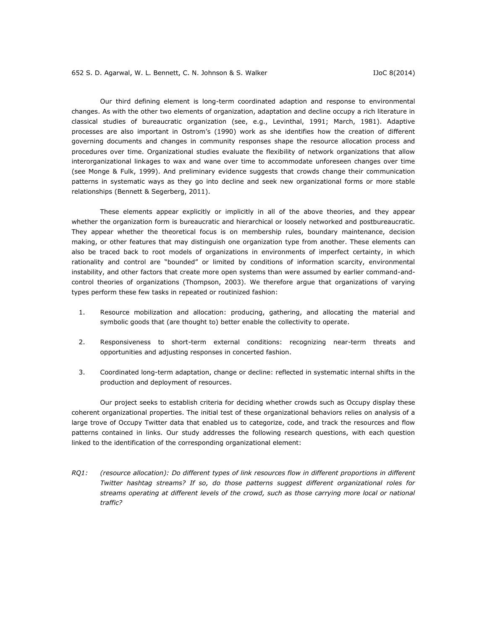Our third defining element is long-term coordinated adaption and response to environmental changes. As with the other two elements of organization, adaptation and decline occupy a rich literature in classical studies of bureaucratic organization (see, e.g., Levinthal, 1991; March, 1981). Adaptive processes are also important in Ostrom's (1990) work as she identifies how the creation of different governing documents and changes in community responses shape the resource allocation process and procedures over time. Organizational studies evaluate the flexibility of network organizations that allow interorganizational linkages to wax and wane over time to accommodate unforeseen changes over time (see Monge & Fulk, 1999). And preliminary evidence suggests that crowds change their communication patterns in systematic ways as they go into decline and seek new organizational forms or more stable relationships (Bennett & Segerberg, 2011).

These elements appear explicitly or implicitly in all of the above theories, and they appear whether the organization form is bureaucratic and hierarchical or loosely networked and postbureaucratic. They appear whether the theoretical focus is on membership rules, boundary maintenance, decision making, or other features that may distinguish one organization type from another. These elements can also be traced back to root models of organizations in environments of imperfect certainty, in which rationality and control are "bounded" or limited by conditions of information scarcity, environmental instability, and other factors that create more open systems than were assumed by earlier command-andcontrol theories of organizations (Thompson, 2003). We therefore argue that organizations of varying types perform these few tasks in repeated or routinized fashion:

- 1. Resource mobilization and allocation: producing, gathering, and allocating the material and symbolic goods that (are thought to) better enable the collectivity to operate.
- 2. Responsiveness to short-term external conditions: recognizing near-term threats and opportunities and adjusting responses in concerted fashion.
- 3. Coordinated long-term adaptation, change or decline: reflected in systematic internal shifts in the production and deployment of resources.

Our project seeks to establish criteria for deciding whether crowds such as Occupy display these coherent organizational properties. The initial test of these organizational behaviors relies on analysis of a large trove of Occupy Twitter data that enabled us to categorize, code, and track the resources and flow patterns contained in links. Our study addresses the following research questions, with each question linked to the identification of the corresponding organizational element:

*RQ1: (resource allocation): Do different types of link resources flow in different proportions in different Twitter hashtag streams? If so, do those patterns suggest different organizational roles for streams operating at different levels of the crowd, such as those carrying more local or national traffic?*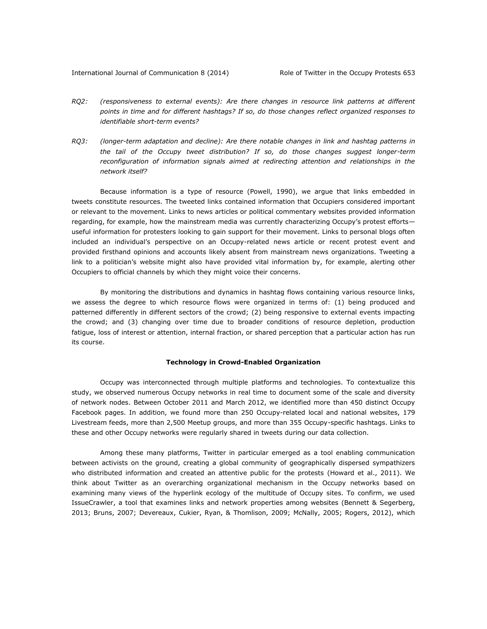- *RQ2: (responsiveness to external events): Are there changes in resource link patterns at different points in time and for different hashtags? If so, do those changes reflect organized responses to identifiable short-term events?*
- *RQ3: (longer-term adaptation and decline): Are there notable changes in link and hashtag patterns in the tail of the Occupy tweet distribution? If so, do those changes suggest longer-term reconfiguration of information signals aimed at redirecting attention and relationships in the network itself?*

Because information is a type of resource (Powell, 1990), we argue that links embedded in tweets constitute resources. The tweeted links contained information that Occupiers considered important or relevant to the movement. Links to news articles or political commentary websites provided information regarding, for example, how the mainstream media was currently characterizing Occupy's protest efforts useful information for protesters looking to gain support for their movement. Links to personal blogs often included an individual's perspective on an Occupy-related news article or recent protest event and provided firsthand opinions and accounts likely absent from mainstream news organizations. Tweeting a link to a politician's website might also have provided vital information by, for example, alerting other Occupiers to official channels by which they might voice their concerns.

By monitoring the distributions and dynamics in hashtag flows containing various resource links, we assess the degree to which resource flows were organized in terms of: (1) being produced and patterned differently in different sectors of the crowd; (2) being responsive to external events impacting the crowd; and (3) changing over time due to broader conditions of resource depletion, production fatigue, loss of interest or attention, internal fraction, or shared perception that a particular action has run its course.

## **Technology in Crowd-Enabled Organization**

Occupy was interconnected through multiple platforms and technologies. To contextualize this study, we observed numerous Occupy networks in real time to document some of the scale and diversity of network nodes. Between October 2011 and March 2012, we identified more than 450 distinct Occupy Facebook pages. In addition, we found more than 250 Occupy-related local and national websites, 179 Livestream feeds, more than 2,500 Meetup groups, and more than 355 Occupy-specific hashtags. Links to these and other Occupy networks were regularly shared in tweets during our data collection.

Among these many platforms, Twitter in particular emerged as a tool enabling communication between activists on the ground, creating a global community of geographically dispersed sympathizers who distributed information and created an attentive public for the protests (Howard et al., 2011). We think about Twitter as an overarching organizational mechanism in the Occupy networks based on examining many views of the hyperlink ecology of the multitude of Occupy sites. To confirm, we used IssueCrawler, a tool that examines links and network properties among websites (Bennett & Segerberg, 2013; Bruns, 2007; Devereaux, Cukier, Ryan, & Thomlison, 2009; McNally, 2005; Rogers, 2012), which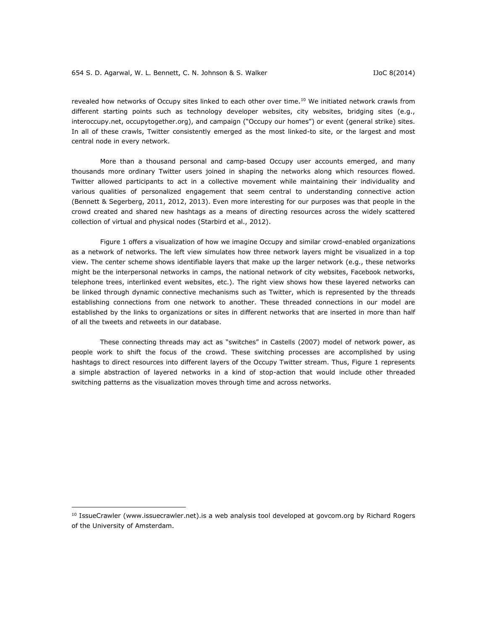revealed how networks of Occupy sites linked to each other over time.<sup>10</sup> We initiated network crawls from different starting points such as technology developer websites, city websites, bridging sites (e.g., interoccupy.net, occupytogether.org), and campaign ("Occupy our homes") or event (general strike) sites. In all of these crawls, Twitter consistently emerged as the most linked-to site, or the largest and most central node in every network.

More than a thousand personal and camp-based Occupy user accounts emerged, and many thousands more ordinary Twitter users joined in shaping the networks along which resources flowed. Twitter allowed participants to act in a collective movement while maintaining their individuality and various qualities of personalized engagement that seem central to understanding connective action (Bennett & Segerberg, 2011, 2012, 2013). Even more interesting for our purposes was that people in the crowd created and shared new hashtags as a means of directing resources across the widely scattered collection of virtual and physical nodes (Starbird et al., 2012).

Figure 1 offers a visualization of how we imagine Occupy and similar crowd-enabled organizations as a network of networks. The left view simulates how three network layers might be visualized in a top view. The center scheme shows identifiable layers that make up the larger network (e.g., these networks might be the interpersonal networks in camps, the national network of city websites, Facebook networks, telephone trees, interlinked event websites, etc.). The right view shows how these layered networks can be linked through dynamic connective mechanisms such as Twitter, which is represented by the threads establishing connections from one network to another. These threaded connections in our model are established by the links to organizations or sites in different networks that are inserted in more than half of all the tweets and retweets in our database.

These connecting threads may act as "switches" in Castells (2007) model of network power, as people work to shift the focus of the crowd. These switching processes are accomplished by using hashtags to direct resources into different layers of the Occupy Twitter stream. Thus, Figure 1 represents a simple abstraction of layered networks in a kind of stop-action that would include other threaded switching patterns as the visualization moves through time and across networks.

 $\overline{a}$ 

<sup>&</sup>lt;sup>10</sup> IssueCrawler [\(www.issuecrawler.net\)](http://www.issuecrawler.net/).is a web analysis tool developed at govcom.org by Richard Rogers of the University of Amsterdam.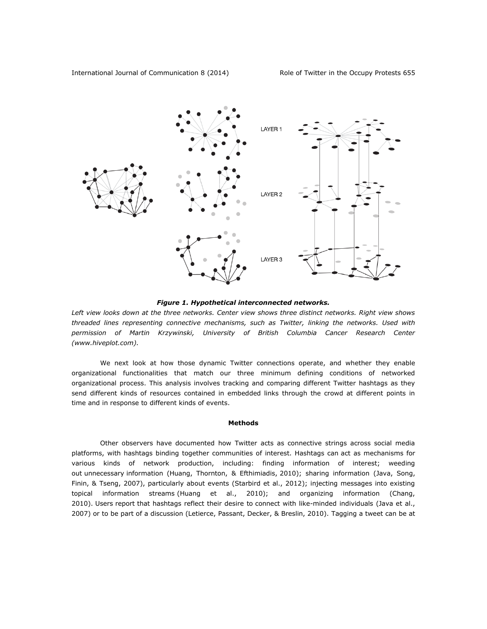

*Figure 1. Hypothetical interconnected networks.*

Left view looks down at the three networks. Center view shows three distinct networks. Right view shows *threaded lines representing connective mechanisms, such as Twitter, linking the networks. Used with permission of Martin Krzywinski, University of British Columbia Cancer Research Center [\(www.hiveplot.com\)](http://www.hiveplot.com/).*

We next look at how those dynamic Twitter connections operate, and whether they enable organizational functionalities that match our three minimum defining conditions of networked organizational process. This analysis involves tracking and comparing different Twitter hashtags as they send different kinds of resources contained in embedded links through the crowd at different points in time and in response to different kinds of events.

## **Methods**

Other observers have documented how Twitter acts as connective strings across social media platforms, with hashtags binding together communities of interest. Hashtags can act as mechanisms for various kinds of network production, including: finding information of interest; weeding out unnecessary information (Huang, Thornton, & Efthimiadis, 2010); sharing information (Java, Song, Finin, & Tseng, 2007), particularly about events (Starbird et al., 2012); injecting messages into existing topical information streams (Huang et al., 2010); and organizing information (Chang, 2010). Users report that hashtags reflect their desire to connect with like-minded individuals (Java et al., 2007) or to be part of a discussion (Letierce, Passant, Decker, & Breslin, 2010). Tagging a tweet can be at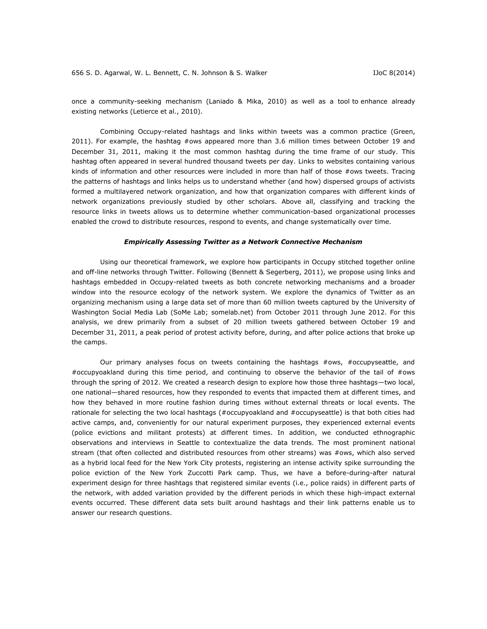once a community-seeking mechanism (Laniado & Mika, 2010) as well as a tool to enhance already existing networks (Letierce et al., 2010).

Combining Occupy-related hashtags and links within tweets was a common practice (Green, 2011). For example, the hashtag #ows appeared more than 3.6 million times between October 19 and December 31, 2011, making it the most common hashtag during the time frame of our study. This hashtag often appeared in several hundred thousand tweets per day. Links to websites containing various kinds of information and other resources were included in more than half of those #ows tweets. Tracing the patterns of hashtags and links helps us to understand whether (and how) dispersed groups of activists formed a multilayered network organization, and how that organization compares with different kinds of network organizations previously studied by other scholars. Above all, classifying and tracking the resource links in tweets allows us to determine whether communication-based organizational processes enabled the crowd to distribute resources, respond to events, and change systematically over time.

#### *Empirically Assessing Twitter as a Network Connective Mechanism*

Using our theoretical framework, we explore how participants in Occupy stitched together online and off-line networks through Twitter. Following (Bennett & Segerberg, 2011), we propose using links and hashtags embedded in Occupy-related tweets as both concrete networking mechanisms and a broader window into the resource ecology of the network system. We explore the dynamics of Twitter as an organizing mechanism using a large data set of more than 60 million tweets captured by the University of Washington Social Media Lab (SoMe Lab; somelab.net) from October 2011 through June 2012. For this analysis, we drew primarily from a subset of 20 million tweets gathered between October 19 and December 31, 2011, a peak period of protest activity before, during, and after police actions that broke up the camps.

Our primary analyses focus on tweets containing the hashtags #ows, #occupyseattle, and #occupyoakland during this time period, and continuing to observe the behavior of the tail of #ows through the spring of 2012. We created a research design to explore how those three hashtags—two local, one national—shared resources, how they responded to events that impacted them at different times, and how they behaved in more routine fashion during times without external threats or local events. The rationale for selecting the two local hashtags (#occupyoakland and #occupyseattle) is that both cities had active camps, and, conveniently for our natural experiment purposes, they experienced external events (police evictions and militant protests) at different times. In addition, we conducted ethnographic observations and interviews in Seattle to contextualize the data trends. The most prominent national stream (that often collected and distributed resources from other streams) was #ows, which also served as a hybrid local feed for the New York City protests, registering an intense activity spike surrounding the police eviction of the New York Zuccotti Park camp. Thus, we have a before-during-after natural experiment design for three hashtags that registered similar events (i.e., police raids) in different parts of the network, with added variation provided by the different periods in which these high-impact external events occurred. These different data sets built around hashtags and their link patterns enable us to answer our research questions.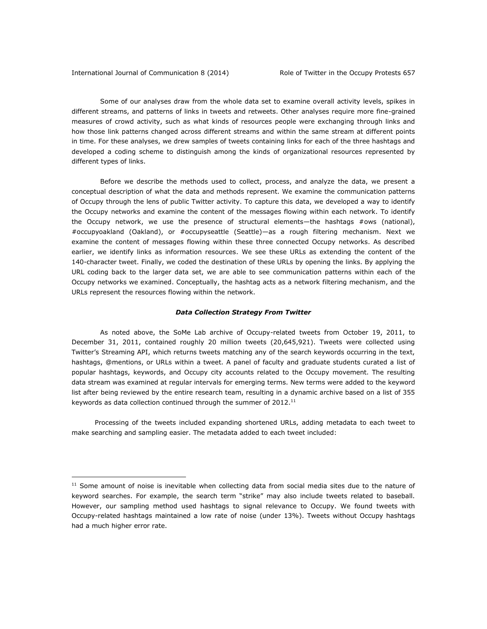$\overline{a}$ 

Some of our analyses draw from the whole data set to examine overall activity levels, spikes in different streams, and patterns of links in tweets and retweets. Other analyses require more fine-grained measures of crowd activity, such as what kinds of resources people were exchanging through links and how those link patterns changed across different streams and within the same stream at different points in time. For these analyses, we drew samples of tweets containing links for each of the three hashtags and developed a coding scheme to distinguish among the kinds of organizational resources represented by different types of links.

Before we describe the methods used to collect, process, and analyze the data, we present a conceptual description of what the data and methods represent. We examine the communication patterns of Occupy through the lens of public Twitter activity. To capture this data, we developed a way to identify the Occupy networks and examine the content of the messages flowing within each network. To identify the Occupy network, we use the presence of structural elements—the hashtags #ows (national), #occupyoakland (Oakland), or #occupyseattle (Seattle)—as a rough filtering mechanism. Next we examine the content of messages flowing within these three connected Occupy networks. As described earlier, we identify links as information resources. We see these URLs as extending the content of the 140-character tweet. Finally, we coded the destination of these URLs by opening the links. By applying the URL coding back to the larger data set, we are able to see communication patterns within each of the Occupy networks we examined. Conceptually, the hashtag acts as a network filtering mechanism, and the URLs represent the resources flowing within the network.

## *Data Collection Strategy From Twitter*

As noted above, the SoMe Lab archive of Occupy-related tweets from October 19, 2011, to December 31, 2011, contained roughly 20 million tweets (20,645,921). Tweets were collected using Twitter's Streaming API, which returns tweets matching any of the search keywords occurring in the text, hashtags, @mentions, or URLs within a tweet. A panel of faculty and graduate students curated a list of popular hashtags, keywords, and Occupy city accounts related to the Occupy movement. The resulting data stream was examined at regular intervals for emerging terms. New terms were added to the keyword list after being reviewed by the entire research team, resulting in a dynamic archive based on a list of 355 keywords as data collection continued through the summer of 2012.<sup>11</sup>

Processing of the tweets included expanding shortened URLs, adding metadata to each tweet to make searching and sampling easier. The metadata added to each tweet included:

 $11$  Some amount of noise is inevitable when collecting data from social media sites due to the nature of keyword searches. For example, the search term "strike" may also include tweets related to baseball. However, our sampling method used hashtags to signal relevance to Occupy. We found tweets with Occupy-related hashtags maintained a low rate of noise (under 13%). Tweets without Occupy hashtags had a much higher error rate.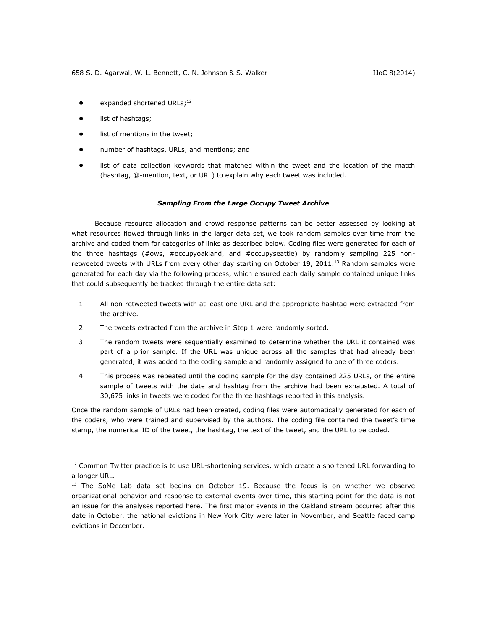- $\bullet$  expanded shortened URLs;<sup>12</sup>
- list of hashtags;

 $\overline{a}$ 

- list of mentions in the tweet;
- number of hashtags, URLs, and mentions; and
- list of data collection keywords that matched within the tweet and the location of the match (hashtag, @-mention, text, or URL) to explain why each tweet was included.

## *Sampling From the Large Occupy Tweet Archive*

Because resource allocation and crowd response patterns can be better assessed by looking at what resources flowed through links in the larger data set, we took random samples over time from the archive and coded them for categories of links as described below. Coding files were generated for each of the three hashtags (#ows, #occupyoakland, and #occupyseattle) by randomly sampling 225 nonretweeted tweets with URLs from every other day starting on October 19, 2011.<sup>13</sup> Random samples were generated for each day via the following process, which ensured each daily sample contained unique links that could subsequently be tracked through the entire data set:

- 1. All non-retweeted tweets with at least one URL and the appropriate hashtag were extracted from the archive.
- 2. The tweets extracted from the archive in Step 1 were randomly sorted.
- 3. The random tweets were sequentially examined to determine whether the URL it contained was part of a prior sample. If the URL was unique across all the samples that had already been generated, it was added to the coding sample and randomly assigned to one of three coders.
- 4. This process was repeated until the coding sample for the day contained 225 URLs, or the entire sample of tweets with the date and hashtag from the archive had been exhausted. A total of 30,675 links in tweets were coded for the three hashtags reported in this analysis.

Once the random sample of URLs had been created, coding files were automatically generated for each of the coders, who were trained and supervised by the authors. The coding file contained the tweet's time stamp, the numerical ID of the tweet, the hashtag, the text of the tweet, and the URL to be coded.

 $12$  Common Twitter practice is to use URL-shortening services, which create a shortened URL forwarding to a longer URL.

<sup>&</sup>lt;sup>13</sup> The SoMe Lab data set begins on October 19. Because the focus is on whether we observe organizational behavior and response to external events over time, this starting point for the data is not an issue for the analyses reported here. The first major events in the Oakland stream occurred after this date in October, the national evictions in New York City were later in November, and Seattle faced camp evictions in December.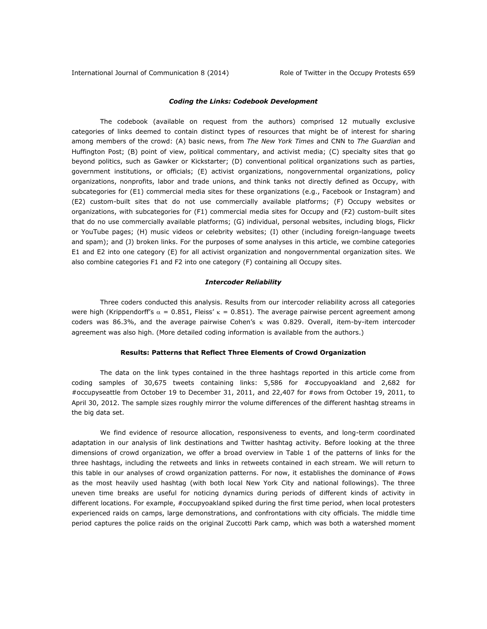International Journal of Communication 8 (2014) Role of Twitter in the Occupy Protests 659

## *Coding the Links: Codebook Development*

The codebook (available on request from the authors) comprised 12 mutually exclusive categories of links deemed to contain distinct types of resources that might be of interest for sharing among members of the crowd: (A) basic news, from *The New York Times* and CNN to *The Guardian* and Huffington Post; (B) point of view, political commentary, and activist media; (C) specialty sites that go beyond politics, such as Gawker or Kickstarter; (D) conventional political organizations such as parties, government institutions, or officials; (E) activist organizations, nongovernmental organizations, policy organizations, nonprofits, labor and trade unions, and think tanks not directly defined as Occupy, with subcategories for (E1) commercial media sites for these organizations (e.g., Facebook or Instagram) and (E2) custom-built sites that do not use commercially available platforms; (F) Occupy websites or organizations, with subcategories for (F1) commercial media sites for Occupy and (F2) custom-built sites that do no use commercially available platforms; (G) individual, personal websites, including blogs, Flickr or YouTube pages; (H) music videos or celebrity websites; (I) other (including foreign-language tweets and spam); and (J) broken links. For the purposes of some analyses in this article, we combine categories E1 and E2 into one category (E) for all activist organization and nongovernmental organization sites. We also combine categories F1 and F2 into one category (F) containing all Occupy sites.

## *Intercoder Reliability*

Three coders conducted this analysis. Results from our intercoder reliability across all categories were high (Krippendorff's  $\alpha = 0.851$ , Fleiss'  $\kappa = 0.851$ ). The average pairwise percent agreement among coders was 86.3%, and the average pairwise Cohen's  $\kappa$  was 0.829. Overall, item-by-item intercoder agreement was also high. (More detailed coding information is available from the authors.)

## **Results: Patterns that Reflect Three Elements of Crowd Organization**

The data on the link types contained in the three hashtags reported in this article come from coding samples of 30,675 tweets containing links: 5,586 for #occupyoakland and 2,682 for #occupyseattle from October 19 to December 31, 2011, and 22,407 for #ows from October 19, 2011, to April 30, 2012. The sample sizes roughly mirror the volume differences of the different hashtag streams in the big data set.

We find evidence of resource allocation, responsiveness to events, and long-term coordinated adaptation in our analysis of link destinations and Twitter hashtag activity. Before looking at the three dimensions of crowd organization, we offer a broad overview in Table 1 of the patterns of links for the three hashtags, including the retweets and links in retweets contained in each stream. We will return to this table in our analyses of crowd organization patterns. For now, it establishes the dominance of #ows as the most heavily used hashtag (with both local New York City and national followings). The three uneven time breaks are useful for noticing dynamics during periods of different kinds of activity in different locations. For example, #occupyoakland spiked during the first time period, when local protesters experienced raids on camps, large demonstrations, and confrontations with city officials. The middle time period captures the police raids on the original Zuccotti Park camp, which was both a watershed moment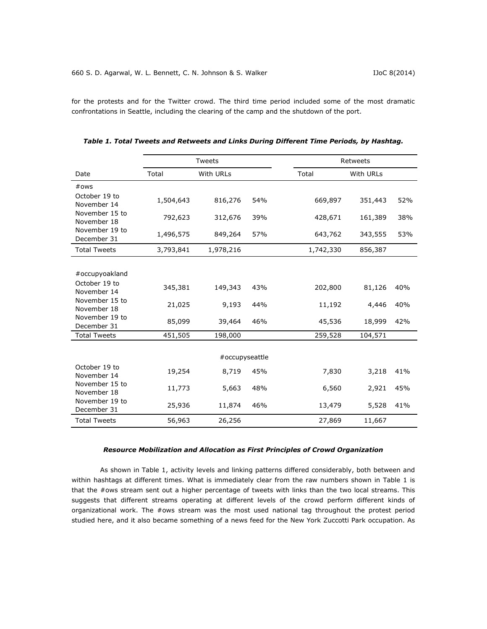for the protests and for the Twitter crowd. The third time period included some of the most dramatic confrontations in Seattle, including the clearing of the camp and the shutdown of the port.

|                               |           | <b>Tweets</b>  |     | Retweets  |           |     |
|-------------------------------|-----------|----------------|-----|-----------|-----------|-----|
| Date                          | Total     | With URLs      |     | Total     | With URLs |     |
| #ows                          |           |                |     |           |           |     |
| October 19 to<br>November 14  | 1,504,643 | 816,276        | 54% | 669,897   | 351,443   | 52% |
| November 15 to<br>November 18 | 792,623   | 312,676        | 39% | 428,671   | 161,389   | 38% |
| November 19 to<br>December 31 | 1,496,575 | 849,264        | 57% | 643,762   | 343,555   | 53% |
| <b>Total Tweets</b>           | 3,793,841 | 1,978,216      |     | 1,742,330 | 856,387   |     |
|                               |           |                |     |           |           |     |
| #occupyoakland                |           |                |     |           |           |     |
| October 19 to<br>November 14  | 345,381   | 149,343        | 43% | 202,800   | 81,126    | 40% |
| November 15 to<br>November 18 | 21,025    | 9,193          | 44% | 11,192    | 4,446     | 40% |
| November 19 to<br>December 31 | 85,099    | 39,464         | 46% | 45,536    | 18,999    | 42% |
| <b>Total Tweets</b>           | 451,505   | 198,000        |     | 259,528   | 104,571   |     |
|                               |           | #occupyseattle |     |           |           |     |
| October 19 to<br>November 14  | 19,254    | 8,719          | 45% | 7,830     | 3,218     | 41% |
| November 15 to<br>November 18 | 11,773    | 5,663          | 48% | 6,560     | 2,921     | 45% |
| November 19 to<br>December 31 | 25,936    | 11,874         | 46% | 13,479    | 5,528     | 41% |
| <b>Total Tweets</b>           | 56,963    | 26,256         |     | 27,869    | 11,667    |     |

| Table 1. Total Tweets and Retweets and Links During Different Time Periods, by Hashtag. |
|-----------------------------------------------------------------------------------------|
|-----------------------------------------------------------------------------------------|

# *Resource Mobilization and Allocation as First Principles of Crowd Organization*

As shown in Table 1, activity levels and linking patterns differed considerably, both between and within hashtags at different times. What is immediately clear from the raw numbers shown in Table 1 is that the #ows stream sent out a higher percentage of tweets with links than the two local streams. This suggests that different streams operating at different levels of the crowd perform different kinds of organizational work. The #ows stream was the most used national tag throughout the protest period studied here, and it also became something of a news feed for the New York Zuccotti Park occupation. As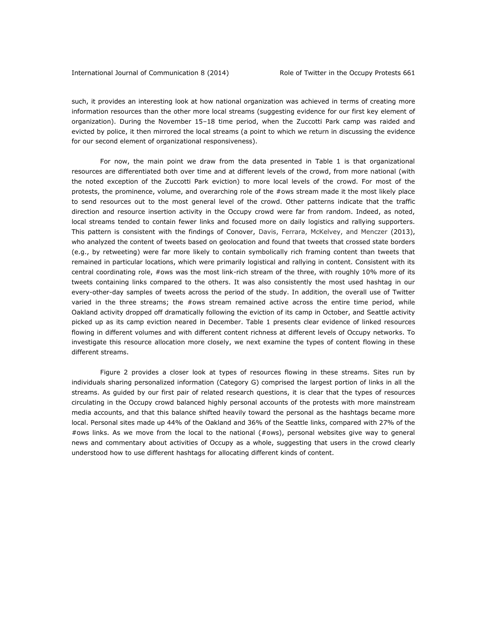such, it provides an interesting look at how national organization was achieved in terms of creating more information resources than the other more local streams (suggesting evidence for our first key element of organization). During the November 15–18 time period, when the Zuccotti Park camp was raided and evicted by police, it then mirrored the local streams (a point to which we return in discussing the evidence for our second element of organizational responsiveness).

For now, the main point we draw from the data presented in Table 1 is that organizational resources are differentiated both over time and at different levels of the crowd, from more national (with the noted exception of the Zuccotti Park eviction) to more local levels of the crowd. For most of the protests, the prominence, volume, and overarching role of the #ows stream made it the most likely place to send resources out to the most general level of the crowd. Other patterns indicate that the traffic direction and resource insertion activity in the Occupy crowd were far from random. Indeed, as noted, local streams tended to contain fewer links and focused more on daily logistics and rallying supporters. This pattern is consistent with the findings of Conover, Davis, Ferrara, McKelvey, and Menczer (2013), who analyzed the content of tweets based on geolocation and found that tweets that crossed state borders (e.g., by retweeting) were far more likely to contain symbolically rich framing content than tweets that remained in particular locations, which were primarily logistical and rallying in content. Consistent with its central coordinating role, #ows was the most link-rich stream of the three, with roughly 10% more of its tweets containing links compared to the others. It was also consistently the most used hashtag in our every-other-day samples of tweets across the period of the study. In addition, the overall use of Twitter varied in the three streams; the #ows stream remained active across the entire time period, while Oakland activity dropped off dramatically following the eviction of its camp in October, and Seattle activity picked up as its camp eviction neared in December. Table 1 presents clear evidence of linked resources flowing in different volumes and with different content richness at different levels of Occupy networks. To investigate this resource allocation more closely, we next examine the types of content flowing in these different streams.

Figure 2 provides a closer look at types of resources flowing in these streams. Sites run by individuals sharing personalized information (Category G) comprised the largest portion of links in all the streams. As guided by our first pair of related research questions, it is clear that the types of resources circulating in the Occupy crowd balanced highly personal accounts of the protests with more mainstream media accounts, and that this balance shifted heavily toward the personal as the hashtags became more local. Personal sites made up 44% of the Oakland and 36% of the Seattle links, compared with 27% of the #ows links. As we move from the local to the national (#ows), personal websites give way to general news and commentary about activities of Occupy as a whole, suggesting that users in the crowd clearly understood how to use different hashtags for allocating different kinds of content.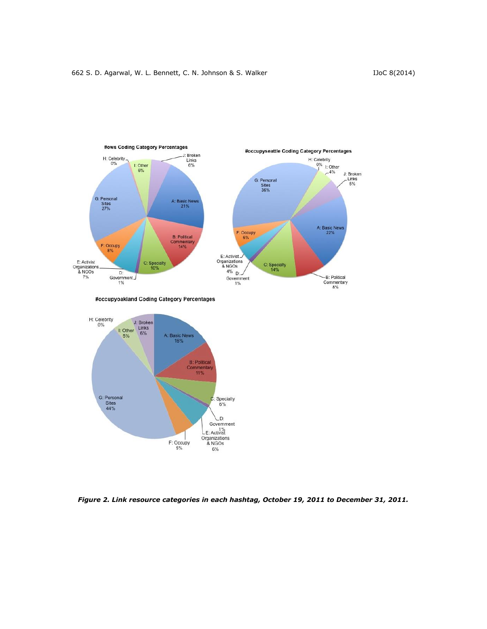

#occupyoakland Coding Category Percentages



*Figure 2. Link resource categories in each hashtag, October 19, 2011 to December 31, 2011.*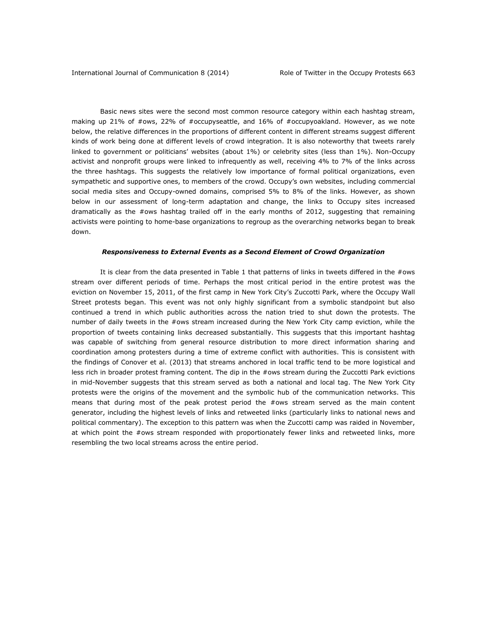Basic news sites were the second most common resource category within each hashtag stream, making up 21% of #ows, 22% of #occupyseattle, and 16% of #occupyoakland. However, as we note below, the relative differences in the proportions of different content in different streams suggest different kinds of work being done at different levels of crowd integration. It is also noteworthy that tweets rarely linked to government or politicians' websites (about 1%) or celebrity sites (less than 1%). Non-Occupy activist and nonprofit groups were linked to infrequently as well, receiving 4% to 7% of the links across the three hashtags. This suggests the relatively low importance of formal political organizations, even sympathetic and supportive ones, to members of the crowd. Occupy's own websites, including commercial social media sites and Occupy-owned domains, comprised 5% to 8% of the links. However, as shown below in our assessment of long-term adaptation and change, the links to Occupy sites increased dramatically as the #ows hashtag trailed off in the early months of 2012, suggesting that remaining activists were pointing to home-base organizations to regroup as the overarching networks began to break down.

#### *Responsiveness to External Events as a Second Element of Crowd Organization*

It is clear from the data presented in Table 1 that patterns of links in tweets differed in the #ows stream over different periods of time. Perhaps the most critical period in the entire protest was the eviction on November 15, 2011, of the first camp in New York City's Zuccotti Park, where the Occupy Wall Street protests began. This event was not only highly significant from a symbolic standpoint but also continued a trend in which public authorities across the nation tried to shut down the protests. The number of daily tweets in the #ows stream increased during the New York City camp eviction, while the proportion of tweets containing links decreased substantially. This suggests that this important hashtag was capable of switching from general resource distribution to more direct information sharing and coordination among protesters during a time of extreme conflict with authorities. This is consistent with the findings of Conover et al. (2013) that streams anchored in local traffic tend to be more logistical and less rich in broader protest framing content. The dip in the #ows stream during the Zuccotti Park evictions in mid-November suggests that this stream served as both a national and local tag. The New York City protests were the origins of the movement and the symbolic hub of the communication networks. This means that during most of the peak protest period the #ows stream served as the main content generator, including the highest levels of links and retweeted links (particularly links to national news and political commentary). The exception to this pattern was when the Zuccotti camp was raided in November, at which point the #ows stream responded with proportionately fewer links and retweeted links, more resembling the two local streams across the entire period.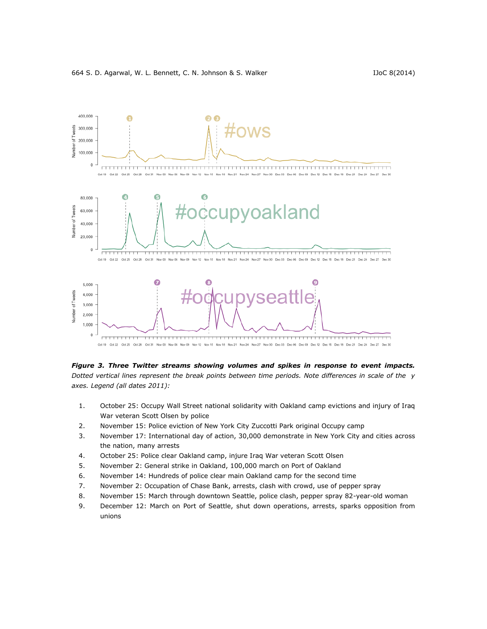



*Figure 3. Three Twitter streams showing volumes and spikes in response to event impacts. Dotted vertical lines represent the break points between time periods. Note differences in scale of the y axes. Legend (all dates 2011):*

- 1. October 25: Occupy Wall Street national solidarity with Oakland camp evictions and injury of Iraq War veteran Scott Olsen by police
- 2. November 15: Police eviction of New York City Zuccotti Park original Occupy camp
- 3. November 17: International day of action, 30,000 demonstrate in New York City and cities across the nation, many arrests
- 4. October 25: Police clear Oakland camp, injure Iraq War veteran Scott Olsen
- 5. November 2: General strike in Oakland, 100,000 march on Port of Oakland
- 6. November 14: Hundreds of police clear main Oakland camp for the second time
- 7. November 2: Occupation of Chase Bank, arrests, clash with crowd, use of pepper spray
- 8. November 15: March through downtown Seattle, police clash, pepper spray 82-year-old woman
- 9. December 12: March on Port of Seattle, shut down operations, arrests, sparks opposition from unions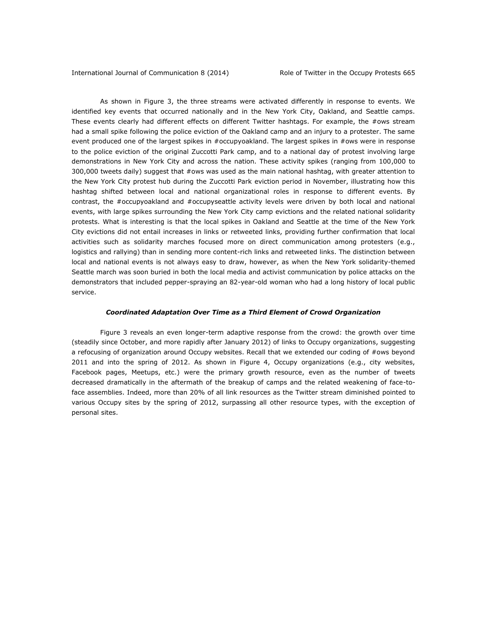As shown in Figure 3, the three streams were activated differently in response to events. We identified key events that occurred nationally and in the New York City, Oakland, and Seattle camps. These events clearly had different effects on different Twitter hashtags. For example, the #ows stream had a small spike following the police eviction of the Oakland camp and an injury to a protester. The same event produced one of the largest spikes in #occupyoakland. The largest spikes in #ows were in response to the police eviction of the original Zuccotti Park camp, and to a national day of protest involving large demonstrations in New York City and across the nation. These activity spikes (ranging from 100,000 to 300,000 tweets daily) suggest that #ows was used as the main national hashtag, with greater attention to the New York City protest hub during the Zuccotti Park eviction period in November, illustrating how this hashtag shifted between local and national organizational roles in response to different events. By contrast, the #occupyoakland and #occupyseattle activity levels were driven by both local and national events, with large spikes surrounding the New York City camp evictions and the related national solidarity protests. What is interesting is that the local spikes in Oakland and Seattle at the time of the New York City evictions did not entail increases in links or retweeted links, providing further confirmation that local activities such as solidarity marches focused more on direct communication among protesters (e.g., logistics and rallying) than in sending more content-rich links and retweeted links. The distinction between local and national events is not always easy to draw, however, as when the New York solidarity-themed Seattle march was soon buried in both the local media and activist communication by police attacks on the demonstrators that included pepper-spraying an 82-year-old woman who had a long history of local public service.

## *Coordinated Adaptation Over Time as a Third Element of Crowd Organization*

Figure 3 reveals an even longer-term adaptive response from the crowd: the growth over time (steadily since October, and more rapidly after January 2012) of links to Occupy organizations, suggesting a refocusing of organization around Occupy websites. Recall that we extended our coding of #ows beyond 2011 and into the spring of 2012. As shown in Figure 4, Occupy organizations (e.g., city websites, Facebook pages, Meetups, etc.) were the primary growth resource, even as the number of tweets decreased dramatically in the aftermath of the breakup of camps and the related weakening of face-toface assemblies. Indeed, more than 20% of all link resources as the Twitter stream diminished pointed to various Occupy sites by the spring of 2012, surpassing all other resource types, with the exception of personal sites.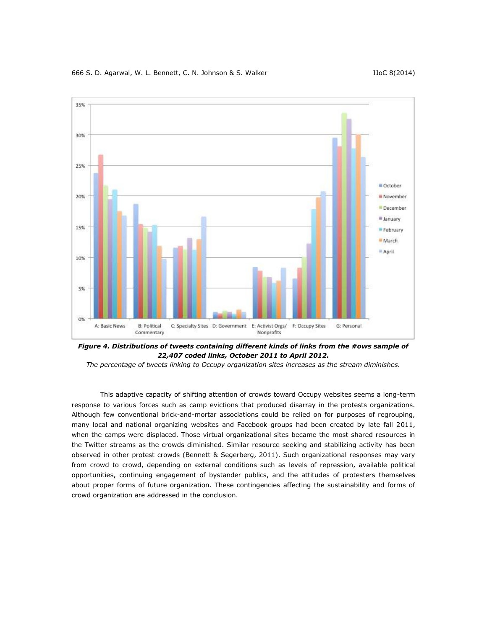#### 666 S. D. Agarwal, W. L. Bennett, C. N. Johnson & S. Walker **ISC 8000 1100 1100 8** (2014)



*Figure 4. Distributions of tweets containing different kinds of links from the #ows sample of 22,407 coded links, October 2011 to April 2012.* 

*The percentage of tweets linking to Occupy organization sites increases as the stream diminishes.*

This adaptive capacity of shifting attention of crowds toward Occupy websites seems a long-term response to various forces such as camp evictions that produced disarray in the protests organizations. Although few conventional brick-and-mortar associations could be relied on for purposes of regrouping, many local and national organizing websites and Facebook groups had been created by late fall 2011, when the camps were displaced. Those virtual organizational sites became the most shared resources in the Twitter streams as the crowds diminished. Similar resource seeking and stabilizing activity has been observed in other protest crowds (Bennett & Segerberg, 2011). Such organizational responses may vary from crowd to crowd, depending on external conditions such as levels of repression, available political opportunities, continuing engagement of bystander publics, and the attitudes of protesters themselves about proper forms of future organization. These contingencies affecting the sustainability and forms of crowd organization are addressed in the conclusion.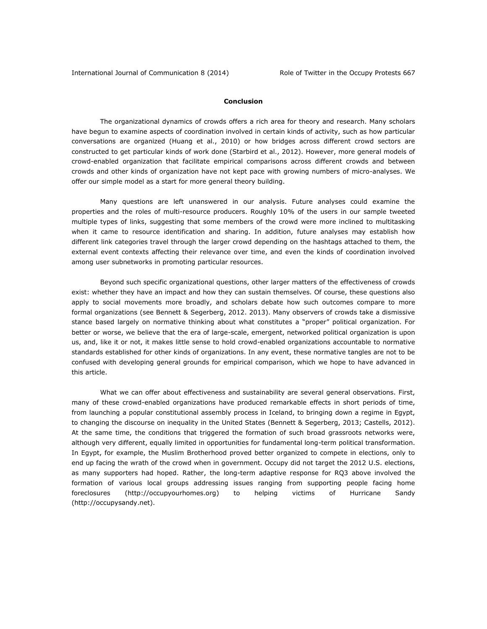# **Conclusion**

The organizational dynamics of crowds offers a rich area for theory and research. Many scholars have begun to examine aspects of coordination involved in certain kinds of activity, such as how particular conversations are organized (Huang et al., 2010) or how bridges across different crowd sectors are constructed to get particular kinds of work done (Starbird et al., 2012). However, more general models of crowd-enabled organization that facilitate empirical comparisons across different crowds and between crowds and other kinds of organization have not kept pace with growing numbers of micro-analyses. We offer our simple model as a start for more general theory building.

Many questions are left unanswered in our analysis. Future analyses could examine the properties and the roles of multi-resource producers. Roughly 10% of the users in our sample tweeted multiple types of links, suggesting that some members of the crowd were more inclined to multitasking when it came to resource identification and sharing. In addition, future analyses may establish how different link categories travel through the larger crowd depending on the hashtags attached to them, the external event contexts affecting their relevance over time, and even the kinds of coordination involved among user subnetworks in promoting particular resources.

Beyond such specific organizational questions, other larger matters of the effectiveness of crowds exist: whether they have an impact and how they can sustain themselves. Of course, these questions also apply to social movements more broadly, and scholars debate how such outcomes compare to more formal organizations (see Bennett & Segerberg, 2012. 2013). Many observers of crowds take a dismissive stance based largely on normative thinking about what constitutes a "proper" political organization. For better or worse, we believe that the era of large-scale, emergent, networked political organization is upon us, and, like it or not, it makes little sense to hold crowd-enabled organizations accountable to normative standards established for other kinds of organizations. In any event, these normative tangles are not to be confused with developing general grounds for empirical comparison, which we hope to have advanced in this article.

What we can offer about effectiveness and sustainability are several general observations. First, many of these crowd-enabled organizations have produced remarkable effects in short periods of time, from launching a popular constitutional assembly process in Iceland, to bringing down a regime in Egypt, to changing the discourse on inequality in the United States (Bennett & Segerberg, 2013; Castells, 2012). At the same time, the conditions that triggered the formation of such broad grassroots networks were, although very different, equally limited in opportunities for fundamental long-term political transformation. In Egypt, for example, the Muslim Brotherhood proved better organized to compete in elections, only to end up facing the wrath of the crowd when in government. Occupy did not target the 2012 U.S. elections, as many supporters had hoped. Rather, the long-term adaptive response for RQ3 above involved the formation of various local groups addressing issues ranging from supporting people facing home foreclosures [\(http://occupyourhomes.org\)](http://occupyourhomes.org/) to helping victims of Hurricane Sandy [\(http://occupysandy.net\)](http://occupysandy.net/).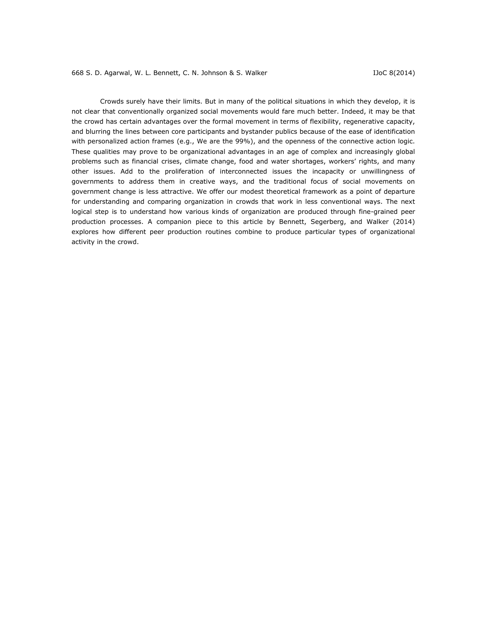Crowds surely have their limits. But in many of the political situations in which they develop, it is not clear that conventionally organized social movements would fare much better. Indeed, it may be that the crowd has certain advantages over the formal movement in terms of flexibility, regenerative capacity, and blurring the lines between core participants and bystander publics because of the ease of identification with personalized action frames (e.g., We are the 99%), and the openness of the connective action logic. These qualities may prove to be organizational advantages in an age of complex and increasingly global problems such as financial crises, climate change, food and water shortages, workers' rights, and many other issues. Add to the proliferation of interconnected issues the incapacity or unwillingness of governments to address them in creative ways, and the traditional focus of social movements on government change is less attractive. We offer our modest theoretical framework as a point of departure for understanding and comparing organization in crowds that work in less conventional ways. The next logical step is to understand how various kinds of organization are produced through fine-grained peer production processes. A companion piece to this article by Bennett, Segerberg, and Walker (2014) explores how different peer production routines combine to produce particular types of organizational activity in the crowd.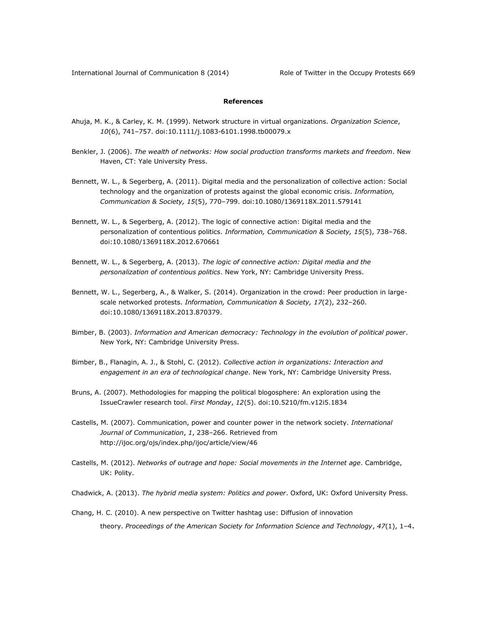# **References**

- Ahuja, M. K., & Carley, K. M. (1999). Network structure in virtual organizations. *Organization Science*, *10*(6), 741–757. doi:10.1111/j.1083-6101.1998.tb00079.x
- Benkler, J. (2006). *The wealth of networks: How social production transforms markets and freedom*. New Haven, CT: Yale University Press.
- Bennett, W. L., & Segerberg, A. (2011). Digital media and the personalization of collective action: Social technology and the organization of protests against the global economic crisis. *Information, Communication & Society, 15*(5), 770–799. doi:10.1080/1369118X.2011.579141
- Bennett, W. L., & Segerberg, A. (2012). The logic of connective action: Digital media and the personalization of contentious politics. *Information, Communication & Society, 15*(5), 738–768. doi:10.1080/1369118X.2012.670661
- Bennett, W. L., & Segerberg, A. (2013). *The logic of connective action: Digital media and the personalization of contentious politics*. New York, NY: Cambridge University Press.
- Bennett, W. L., Segerberg, A., & Walker, S. (2014). Organization in the crowd: Peer production in largescale networked protests. *Information, Communication & Society, 17*(2), 232–260. doi:10.1080/1369118X.2013.870379.
- Bimber, B. (2003). *Information and American democracy: Technology in the evolution of political power*. New York, NY: Cambridge University Press.
- Bimber, B., Flanagin, A. J., & Stohl, C. (2012). *Collective action in organizations: Interaction and engagement in an era of technological change*. New York, NY: Cambridge University Press.
- Bruns, A. (2007). Methodologies for mapping the political blogosphere: An exploration using the IssueCrawler research tool. *First Monday*, *12*(5). doi:10.5210/fm.v12i5.1834
- Castells, M. (2007). Communication, power and counter power in the network society. *International Journal of Communication*, *1*, 238–266. Retrieved from <http://ijoc.org/ojs/index.php/ijoc/article/view/46>
- Castells, M. (2012). *Networks of outrage and hope: Social movements in the Internet age*. Cambridge, UK: Polity.
- Chadwick, A. (2013). *The hybrid media system: Politics and power*. Oxford, UK: Oxford University Press.
- Chang, H. C. (2010). A new perspective on Twitter hashtag use: Diffusion of innovation theory. *Proceedings of the American Society for Information Science and Technology*, *<sup>47</sup>*(1), 1–4.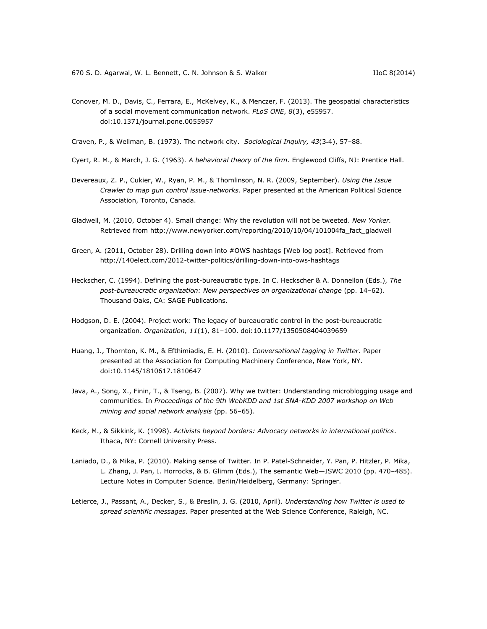- Conover, M. D., Davis, C., Ferrara, E., McKelvey, K., & Menczer, F. (2013). The geospatial characteristics of a social movement communication network. *PLoS ONE*, *8*(3), e55957. doi:10.1371/journal.pone.0055957
- Craven, P., & Wellman, B. (1973). The network city. *Sociological Inquiry, 43*(3‐4), 57–88.
- Cyert, R. M., & March, J. G. (1963). *A behavioral theory of the firm*. Englewood Cliffs, NJ: Prentice Hall.
- Devereaux, Z. P., Cukier, W., Ryan, P. M., & Thomlinson, N. R. (2009, September). *Using the Issue Crawler to map gun control issue-networks*. Paper presented at the American Political Science Association, Toronto, Canada.
- Gladwell, M. (2010, October 4). Small change: Why the revolution will not be tweeted. *New Yorker.* Retrieved from [http://www.newyorker.com/reporting/2010/10/04/101004fa\\_fact\\_gladwell](http://www.newyorker.com/reporting/2010/10/04/101004fa_fact_gladwell)
- Green, A. (2011, October 28). Drilling down into #OWS hashtags [Web log post]. Retrieved from <http://140elect.com/2012-twitter-politics/drilling-down-into-ows-hashtags>
- Heckscher, C. (1994). Defining the post-bureaucratic type. In C. Heckscher & A. Donnellon (Eds.), *The post-bureaucratic organization: New perspectives on organizational change* (pp. 14–62). Thousand Oaks, CA: SAGE Publications.
- Hodgson, D. E. (2004). Project work: The legacy of bureaucratic control in the post-bureaucratic organization. *Organization, 11*(1), 81–100. doi:10.1177/1350508404039659
- Huang, J., Thornton, K. M., & Efthimiadis, E. H. (2010). *Conversational tagging in Twitter*. Paper presented at the Association for Computing Machinery Conference, New York, NY. doi:10.1145/1810617.1810647
- Java, A., Song, X., Finin, T., & Tseng, B. (2007). Why we twitter: Understanding microblogging usage and communities. In *Proceedings of the 9th WebKDD and 1st SNA-KDD 2007 workshop on Web mining and social network analysis* (pp. 56–65).
- Keck, M., & Sikkink, K. (1998). *Activists beyond borders: Advocacy networks in international politics*. Ithaca, NY: Cornell University Press.
- Laniado, D., & Mika, P. (2010). Making sense of Twitter. In P. Patel-Schneider, Y. Pan, P. Hitzler, P. Mika, L. Zhang, J. Pan, I. Horrocks, & B. Glimm (Eds.), The semantic Web—ISWC 2010 (pp. 470–485). Lecture Notes in Computer Science. Berlin/Heidelberg, Germany: Springer.
- Letierce, J., Passant, A., Decker, S., & Breslin, J. G. (2010, April). *Understanding how Twitter is used to spread scientific messages.* Paper presented at the Web Science Conference, Raleigh, NC.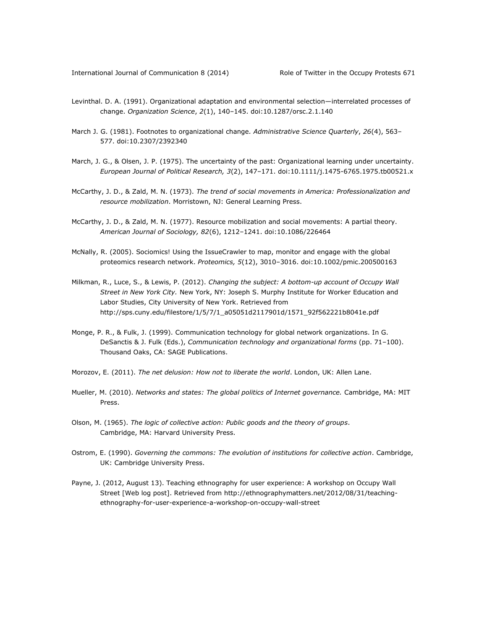- Levinthal. D. A. (1991). Organizational adaptation and environmental selection—interrelated processes of change. *Organization Science*, *2*(1), 140–145. doi:10.1287/orsc.2.1.140
- March J. G. (1981). Footnotes to organizational change*. Administrative Science Quarterly*, *26*(4), 563– 577. doi:10.2307/2392340
- March, J. G., & Olsen, J. P. (1975). The uncertainty of the past: Organizational learning under uncertainty. *European Journal of Political Research, 3*(2), 147–171. doi:10.1111/j.1475-6765.1975.tb00521.x
- McCarthy, J. D., & Zald, M. N. (1973). *The trend of social movements in America: Professionalization and resource mobilization*. Morristown, NJ: General Learning Press.
- McCarthy, J. D., & Zald, M. N. (1977). Resource mobilization and social movements: A partial theory. *American Journal of Sociology, 82*(6), 1212–1241. doi:10.1086/226464
- McNally, R. (2005). Sociomics! Using the IssueCrawler to map, monitor and engage with the global proteomics research network. *Proteomics, 5*(12), 3010–3016. doi:10.1002/pmic.200500163
- Milkman, R., Luce, S., & Lewis, P. (2012). *Changing the subject: A bottom-up account of Occupy Wall Street in New York City.* New York, NY: Joseph S. Murphy Institute for Worker Education and Labor Studies, City University of New York. Retrieved from [http://sps.cuny.edu/filestore/1/5/7/1\\_a05051d2117901d/1571\\_92f562221b8041e.pdf](http://sps.cuny.edu/filestore/1/5/7/1_a05051d2117901d/1571_92f562221b8041e.pdf)
- Monge, P. R., & Fulk, J. (1999). Communication technology for global network organizations. In G. DeSanctis & J. Fulk (Eds.), *Communication technology and organizational forms* (pp. 71–100). Thousand Oaks, CA: SAGE Publications.
- Morozov, E. (2011). *The net delusion: How not to liberate the world*. London, UK: Allen Lane.
- Mueller, M. (2010). *Networks and states: The global politics of Internet governance.* Cambridge, MA: MIT Press.
- Olson, M. (1965). *The logic of collective action: Public goods and the theory of groups*. Cambridge, MA: Harvard University Press.
- Ostrom, E. (1990). *Governing the commons: The evolution of institutions for collective action*. Cambridge, UK: Cambridge University Press.
- Payne, J. (2012, August 13). Teaching ethnography for user experience: A workshop on Occupy Wall Street [Web log post]. Retrieved from [http://ethnographymatters.net/2012/08/31/teaching](http://ethnographymatters.net/2012/08/31/teaching-ethnography-for-user-experience-a-workshop-on-occupy-wall-street)[ethnography-for-user-experience-a-workshop-on-occupy-wall-street](http://ethnographymatters.net/2012/08/31/teaching-ethnography-for-user-experience-a-workshop-on-occupy-wall-street)